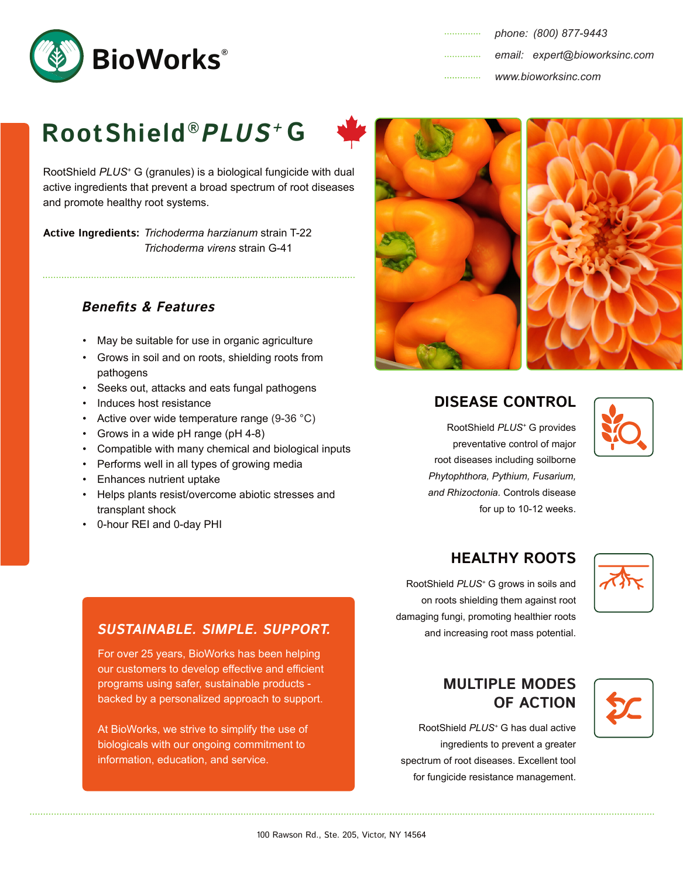

# **RootShield® PLUS<sup>+</sup> G**

RootShield *PLUS+* G (granules) is a biological fungicide with dual active ingredients that prevent a broad spectrum of root diseases and promote healthy root systems.

**Active Ingredients:** *Trichoderma harzianum* strain T-22 *Trichoderma virens* strain G-41

### **Benefits & Features**

- May be suitable for use in organic agriculture
- Grows in soil and on roots, shielding roots from pathogens

- Seeks out, attacks and eats fungal pathogens
- Induces host resistance
- Active over wide temperature range (9-36 °C)
- Grows in a wide pH range (pH 4-8)
- Compatible with many chemical and biological inputs
- Performs well in all types of growing media
- Enhances nutrient uptake
- Helps plants resist/overcome abiotic stresses and transplant shock
- 0-hour REI and 0-day PHI



### **DISEASE CONTROL**

RootShield *PLUS<sup>+</sup>* G provides preventative control of major root diseases including soilborne *Phytophthora, Pythium, Fusarium, and Rhizoctonia.* Controls disease for up to 10-12 weeks.



## **HEALTHY ROOTS**

RootShield *PLUS+* G grows in soils and on roots shielding them against root damaging fungi, promoting healthier roots and increasing root mass potential.



#### **SUSTAINABLE. SIMPLE. SUPPORT.**

For over 25 years, BioWorks has been helping our customers to develop effective and efficient programs using safer, sustainable products backed by a personalized approach to support.

At BioWorks, we strive to simplify the use of biologicals with our ongoing commitment to information, education, and service.

**MULTIPLE MODES OF ACTION**

RootShield *PLUS+* G has dual active ingredients to prevent a greater spectrum of root diseases. Excellent tool for fungicide resistance management.